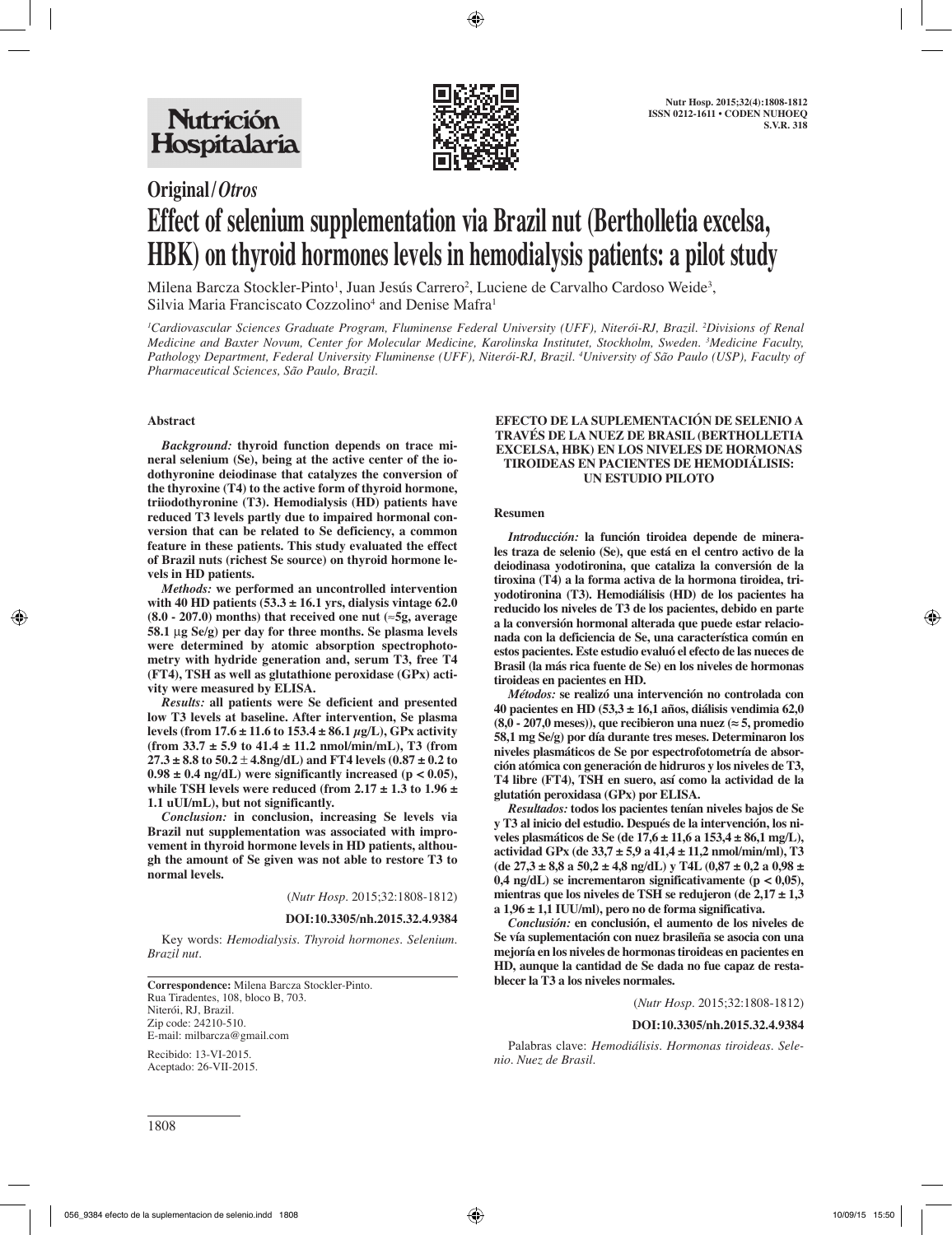

# **Original/***Otros* **Effect of selenium supplementation via Brazil nut (Bertholletia excelsa, HBK) on thyroid hormones levels in hemodialysis patients: a pilot study**

Milena Barcza Stockler-Pinto<sup>1</sup>, Juan Jesús Carrero<sup>2</sup>, Luciene de Carvalho Cardoso Weide<sup>3</sup>, Silvia Maria Franciscato Cozzolino<sup>4</sup> and Denise Mafra<sup>1</sup>

*1 Cardiovascular Sciences Graduate Program, Fluminense Federal University (UFF), Niterói-RJ, Brazil. 2 Divisions of Renal Medicine and Baxter Novum, Center for Molecular Medicine, Karolinska Institutet, Stockholm, Sweden. 3 Medicine Faculty, Pathology Department, Federal University Fluminense (UFF), Niterói-RJ, Brazil. 4 University of São Paulo (USP), Faculty of Pharmaceutical Sciences, São Paulo, Brazil.*

## **Abstract**

*Background:* **thyroid function depends on trace mineral selenium (Se), being at the active center of the iodothyronine deiodinase that catalyzes the conversion of the thyroxine (T4) to the active form of thyroid hormone, triiodothyronine (T3). Hemodialysis (HD) patients have reduced T3 levels partly due to impaired hormonal conversion that can be related to Se deficiency, a common feature in these patients. This study evaluated the effect of Brazil nuts (richest Se source) on thyroid hormone levels in HD patients.**

*Methods:* **we performed an uncontrolled intervention with 40 HD patients (53.3 ± 16.1 yrs, dialysis vintage 62.0 (8.0 - 207.0) months) that received one nut (**≈**5g, average 58.1** m**g Se/g) per day for three months. Se plasma levels were determined by atomic absorption spectrophotometry with hydride generation and, serum T3, free T4 (FT4), TSH as well as glutathione peroxidase (GPx) activity were measured by ELISA.**

*Results:* **all patients were Se deficient and presented low T3 levels at baseline. After intervention, Se plasma levels (from 17.6 ± 11.6 to 153.4 ± 86.1 μg/L), GPx activity (from 33.7 ± 5.9 to 41.4 ± 11.2 nmol/min/mL), T3 (from**   $27.3 \pm 8.8$  to  $50.2 \pm 4.8$ ng/dL) and FT4 levels  $(0.87 \pm 0.2$  to  $0.98 \pm 0.4$  ng/dL) were significantly increased ( $p < 0.05$ ), **while TSH levels were reduced (from 2.17 ± 1.3 to 1.96 ± 1.1 uUI/mL), but not significantly.**

*Conclusion:* **in conclusion, increasing Se levels via Brazil nut supplementation was associated with improvement in thyroid hormone levels in HD patients, although the amount of Se given was not able to restore T3 to normal levels.**

(*Nutr Hosp.* 2015;32:1808-1812)

**DOI:10.3305/nh.2015.32.4.9384**

Key words: *Hemodialysis. Thyroid hormones. Selenium. Brazil nut.*

**Correspondence:** Milena Barcza Stockler-Pinto. Rua Tiradentes, 108, bloco B, 703. Niterói, RJ, Brazil. Zip code: 24210-510. E-mail: milbarcza@gmail.com

Recibido: 13-VI-2015. Aceptado: 26-VII-2015.

#### **EFECTO DE LA SUPLEMENTACIÓN DE SELENIO A TRAVÉS DE LA NUEZ DE BRASIL (BERTHOLLETIA EXCELSA, HBK) EN LOS NIVELES DE HORMONAS TIROIDEAS EN PACIENTES DE HEMODIÁLISIS: UN ESTUDIO PILOTO**

#### **Resumen**

*Introducción:* **la función tiroidea depende de minerales traza de selenio (Se), que está en el centro activo de la deiodinasa yodotironina, que cataliza la conversión de la tiroxina (T4) a la forma activa de la hormona tiroidea, triyodotironina (T3). Hemodiálisis (HD) de los pacientes ha reducido los niveles de T3 de los pacientes, debido en parte a la conversión hormonal alterada que puede estar relacionada con la deficiencia de Se, una característica común en estos pacientes. Este estudio evaluó el efecto de las nueces de Brasil (la más rica fuente de Se) en los niveles de hormonas tiroideas en pacientes en HD.**

*Métodos:* **se realizó una intervención no controlada con 40 pacientes en HD (53,3 ± 16,1 años, diálisis vendimia 62,0 (8,0 - 207,0 meses)), que recibieron una nuez (≈ 5, promedio 58,1 mg Se/g) por día durante tres meses. Determinaron los niveles plasmáticos de Se por espectrofotometría de absorción atómica con generación de hidruros y los niveles de T3, T4 libre (FT4), TSH en suero, así como la actividad de la glutatión peroxidasa (GPx) por ELISA.**

*Resultados:* **todos los pacientes tenían niveles bajos de Se y T3 al inicio del estudio. Después de la intervención, los niveles plasmáticos de Se (de 17,6 ± 11,6 a 153,4 ± 86,1 mg/L), actividad GPx (de 33,7 ± 5,9 a 41,4 ± 11,2 nmol/min/ml), T3 (de 27,3 ± 8,8 a 50,2 ± 4,8 ng/dL) y T4L (0,87 ± 0,2 a 0,98 ± 0,4 ng/dL) se incrementaron significativamente (p < 0,05), mientras que los niveles de TSH se redujeron (de 2,17 ± 1,3 a 1,96 ± 1,1 IUU/ml), pero no de forma significativa.**

*Conclusión:* **en conclusión, el aumento de los niveles de Se vía suplementación con nuez brasileña se asocia con una mejoría en los niveles de hormonas tiroideas en pacientes en HD, aunque la cantidad de Se dada no fue capaz de restablecer la T3 a los niveles normales.**

(*Nutr Hosp.* 2015;32:1808-1812)

#### **DOI:10.3305/nh.2015.32.4.9384**

Palabras clave: *Hemodiálisis. Hormonas tiroideas. Selenio. Nuez de Brasil.*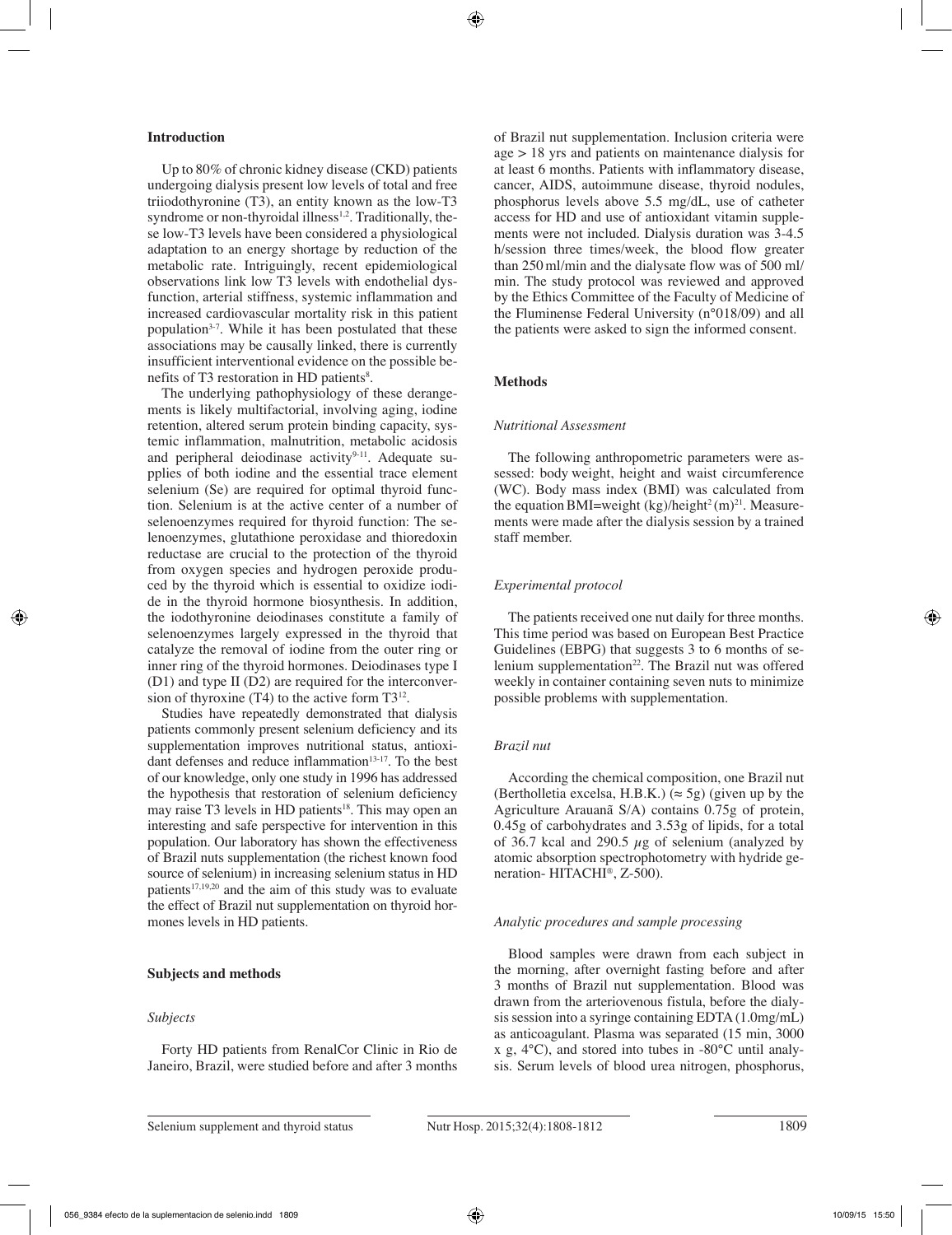#### **Introduction**

Up to 80% of chronic kidney disease (CKD) patients undergoing dialysis present low levels of total and free triiodothyronine (T3), an entity known as the low-T3 syndrome or non-thyroidal illness<sup>1,2</sup>. Traditionally, these low-T3 levels have been considered a physiological adaptation to an energy shortage by reduction of the metabolic rate. Intriguingly, recent epidemiological observations link low T3 levels with endothelial dysfunction, arterial stiffness, systemic inflammation and increased cardiovascular mortality risk in this patient population3-7. While it has been postulated that these associations may be causally linked, there is currently insufficient interventional evidence on the possible benefits of T3 restoration in HD patients<sup>8</sup>.

The underlying pathophysiology of these derangements is likely multifactorial, involving aging, iodine retention, altered serum protein binding capacity, systemic inflammation, malnutrition, metabolic acidosis and peripheral deiodinase activity<sup>9-11</sup>. Adequate supplies of both iodine and the essential trace element selenium (Se) are required for optimal thyroid function. Selenium is at the active center of a number of selenoenzymes required for thyroid function: The selenoenzymes, glutathione peroxidase and thioredoxin reductase are crucial to the protection of the thyroid from oxygen species and hydrogen peroxide produced by the thyroid which is essential to oxidize iodide in the thyroid hormone biosynthesis. In addition, the iodothyronine deiodinases constitute a family of selenoenzymes largely expressed in the thyroid that catalyze the removal of iodine from the outer ring or inner ring of the thyroid hormones. Deiodinases type I (D1) and type II (D2) are required for the interconversion of thyroxine  $(T4)$  to the active form  $T3^{12}$ .

Studies have repeatedly demonstrated that dialysis patients commonly present selenium deficiency and its supplementation improves nutritional status, antioxidant defenses and reduce inflammation<sup>13-17</sup>. To the best of our knowledge, only one study in 1996 has addressed the hypothesis that restoration of selenium deficiency may raise T3 levels in HD patients<sup>18</sup>. This may open an interesting and safe perspective for intervention in this population. Our laboratory has shown the effectiveness of Brazil nuts supplementation (the richest known food source of selenium) in increasing selenium status in HD patients<sup>17,19,20</sup> and the aim of this study was to evaluate the effect of Brazil nut supplementation on thyroid hormones levels in HD patients.

#### **Subjects and methods**

#### *Subjects*

Forty HD patients from RenalCor Clinic in Rio de Janeiro, Brazil, were studied before and after 3 months of Brazil nut supplementation. Inclusion criteria were age > 18 yrs and patients on maintenance dialysis for at least 6 months. Patients with inflammatory disease, cancer, AIDS, autoimmune disease, thyroid nodules, phosphorus levels above 5.5 mg/dL, use of catheter access for HD and use of antioxidant vitamin supplements were not included. Dialysis duration was 3-4.5 h/session three times/week, the blood flow greater than 250ml/min and the dialysate flow was of 500 ml/ min. The study protocol was reviewed and approved by the Ethics Committee of the Faculty of Medicine of the Fluminense Federal University (n°018/09) and all the patients were asked to sign the informed consent.

# **Methods**

#### *Nutritional Assessment*

The following anthropometric parameters were assessed: body weight, height and waist circumference (WC). Body mass index (BMI) was calculated from the equation BMI=weight (kg)/height<sup>2</sup> (m)<sup>21</sup>. Measurements were made after the dialysis session by a trained staff member.

### *Experimental protocol*

The patients received one nut daily for three months. This time period was based on European Best Practice Guidelines (EBPG) that suggests 3 to 6 months of selenium supplementation<sup>22</sup>. The Brazil nut was offered weekly in container containing seven nuts to minimize possible problems with supplementation.

#### *Brazil nut*

According the chemical composition, one Brazil nut (Bertholletia excelsa, H.B.K.) ( $\approx$  5g) (given up by the Agriculture Arauanã S/A) contains 0.75g of protein, 0.45g of carbohydrates and 3.53g of lipids, for a total of 36.7 kcal and 290.5  $\mu$ g of selenium (analyzed by atomic absorption spectrophotometry with hydride generation- HITACHI®, Z-500).

### *Analytic procedures and sample processing*

Blood samples were drawn from each subject in the morning, after overnight fasting before and after 3 months of Brazil nut supplementation. Blood was drawn from the arteriovenous fistula, before the dialysis session into a syringe containing EDTA (1.0mg/mL) as anticoagulant. Plasma was separated (15 min, 3000 x g, 4°C), and stored into tubes in -80°C until analysis. Serum levels of blood urea nitrogen, phosphorus,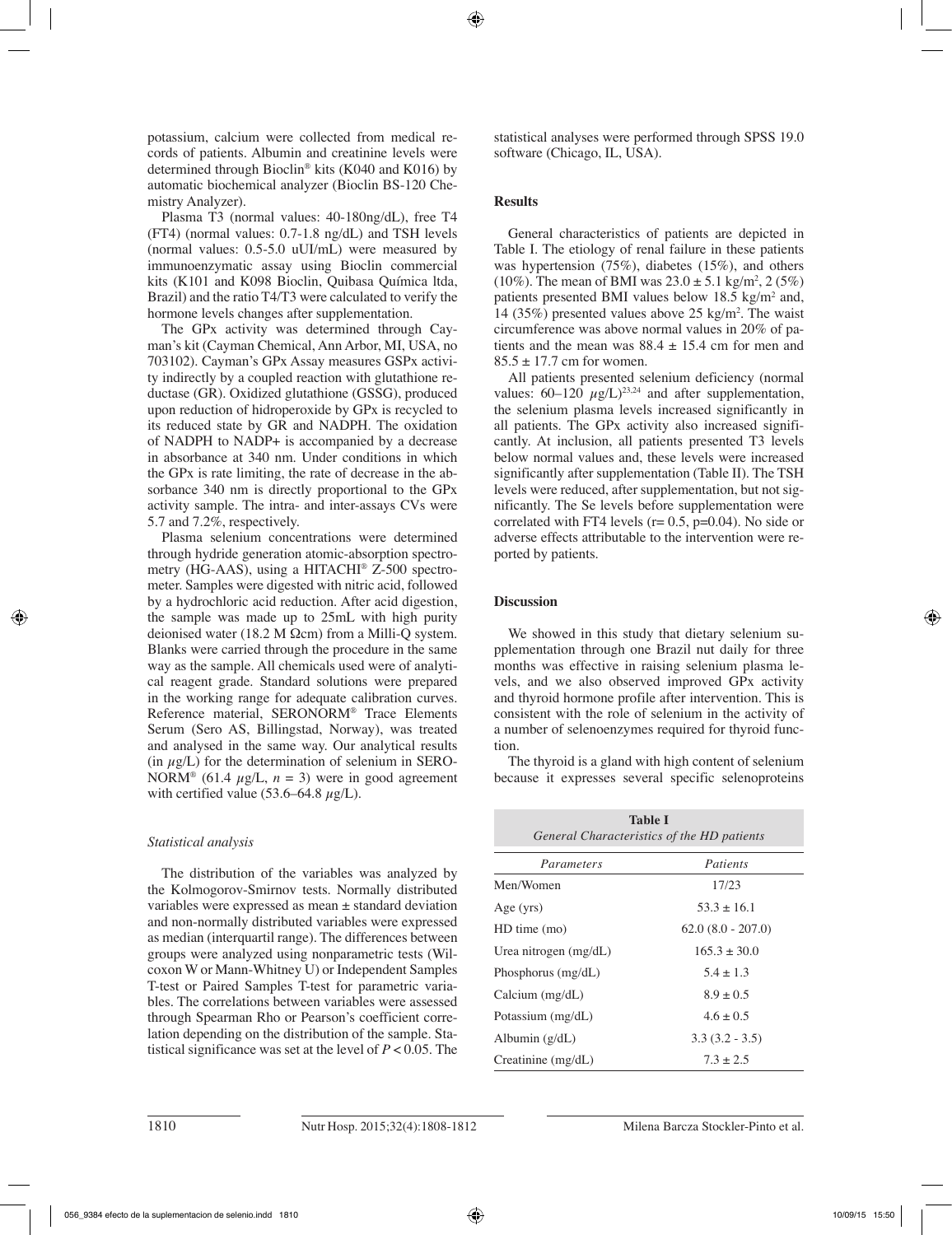potassium, calcium were collected from medical records of patients. Albumin and creatinine levels were determined through Bioclin® kits (K040 and K016) by automatic biochemical analyzer (Bioclin BS-120 Chemistry Analyzer).

Plasma T3 (normal values: 40-180ng/dL), free T4 (FT4) (normal values: 0.7-1.8 ng/dL) and TSH levels (normal values: 0.5-5.0 uUI/mL) were measured by immunoenzymatic assay using Bioclin commercial kits (K101 and K098 Bioclin, Quibasa Química ltda, Brazil) and the ratio T4/T3 were calculated to verify the hormone levels changes after supplementation.

The GPx activity was determined through Cayman's kit (Cayman Chemical, Ann Arbor, MI, USA, no 703102). Cayman's GPx Assay measures GSPx activity indirectly by a coupled reaction with glutathione reductase (GR). Oxidized glutathione (GSSG), produced upon reduction of hidroperoxide by GPx is recycled to its reduced state by GR and NADPH. The oxidation of NADPH to NADP+ is accompanied by a decrease in absorbance at 340 nm. Under conditions in which the GPx is rate limiting, the rate of decrease in the absorbance 340 nm is directly proportional to the GPx activity sample. The intra- and inter-assays CVs were 5.7 and 7.2%, respectively.

Plasma selenium concentrations were determined through hydride generation atomic-absorption spectrometry (HG-AAS), using a HITACHI® Z-500 spectrometer. Samples were digested with nitric acid, followed by a hydrochloric acid reduction. After acid digestion, the sample was made up to 25mL with high purity deionised water (18.2 M Ωcm) from a Milli-Q system. Blanks were carried through the procedure in the same way as the sample. All chemicals used were of analytical reagent grade. Standard solutions were prepared in the working range for adequate calibration curves. Reference material, SERONORM® Trace Elements Serum (Sero AS, Billingstad, Norway), was treated and analysed in the same way. Our analytical results (in  $\mu$ g/L) for the determination of selenium in SERO-NORM<sup>®</sup> (61.4  $\mu$ g/L, *n* = 3) were in good agreement with certified value (53.6–64.8  $\mu$ g/L).

## *Statistical analysis*

The distribution of the variables was analyzed by the Kolmogorov-Smirnov tests. Normally distributed variables were expressed as mean ± standard deviation and non-normally distributed variables were expressed as median (interquartil range). The differences between groups were analyzed using nonparametric tests (Wilcoxon W or Mann-Whitney U) or Independent Samples T-test or Paired Samples T-test for parametric variables. The correlations between variables were assessed through Spearman Rho or Pearson's coefficient correlation depending on the distribution of the sample. Statistical significance was set at the level of *P* < 0.05*.* The statistical analyses were performed through SPSS 19.0 software (Chicago, IL, USA).

## **Results**

General characteristics of patients are depicted in Table I. The etiology of renal failure in these patients was hypertension (75%), diabetes (15%), and others  $(10\%)$ . The mean of BMI was  $23.0 \pm 5.1$  kg/m<sup>2</sup>, 2 (5%) patients presented BMI values below  $18.5 \text{ kg/m}^2$  and, 14 (35%) presented values above 25 kg/m2 . The waist circumference was above normal values in 20% of patients and the mean was  $88.4 \pm 15.4$  cm for men and  $85.5 \pm 17.7$  cm for women.

All patients presented selenium deficiency (normal values:  $60-120 \mu g/L$ <sup>23,24</sup> and after supplementation, the selenium plasma levels increased significantly in all patients. The GPx activity also increased significantly. At inclusion, all patients presented T3 levels below normal values and, these levels were increased significantly after supplementation (Table II). The TSH levels were reduced, after supplementation, but not significantly. The Se levels before supplementation were correlated with FT4 levels ( $r= 0.5$ ,  $p=0.04$ ). No side or adverse effects attributable to the intervention were reported by patients.

## **Discussion**

We showed in this study that dietary selenium supplementation through one Brazil nut daily for three months was effective in raising selenium plasma levels, and we also observed improved GPx activity and thyroid hormone profile after intervention. This is consistent with the role of selenium in the activity of a number of selenoenzymes required for thyroid function.

The thyroid is a gland with high content of selenium because it expresses several specific selenoproteins

| <b>Table I</b><br>General Characteristics of the HD patients |                     |
|--------------------------------------------------------------|---------------------|
| Parameters                                                   | Patients            |
| Men/Women                                                    | 17/23               |
| Age (yrs)                                                    | $53.3 \pm 16.1$     |
| $HD$ time $(mo)$                                             | $62.0(8.0 - 207.0)$ |
| Urea nitrogen $(mg/dL)$                                      | $165.3 \pm 30.0$    |
| Phosphorus $(mg/dL)$                                         | $5.4 \pm 1.3$       |
| Calcium $(mg/dL)$                                            | $8.9 \pm 0.5$       |
| Potassium (mg/dL)                                            | $4.6 + 0.5$         |
| Albumin (g/dL)                                               | $3.3(3.2 - 3.5)$    |
| Creatinine (mg/dL)                                           | $7.3 + 2.5$         |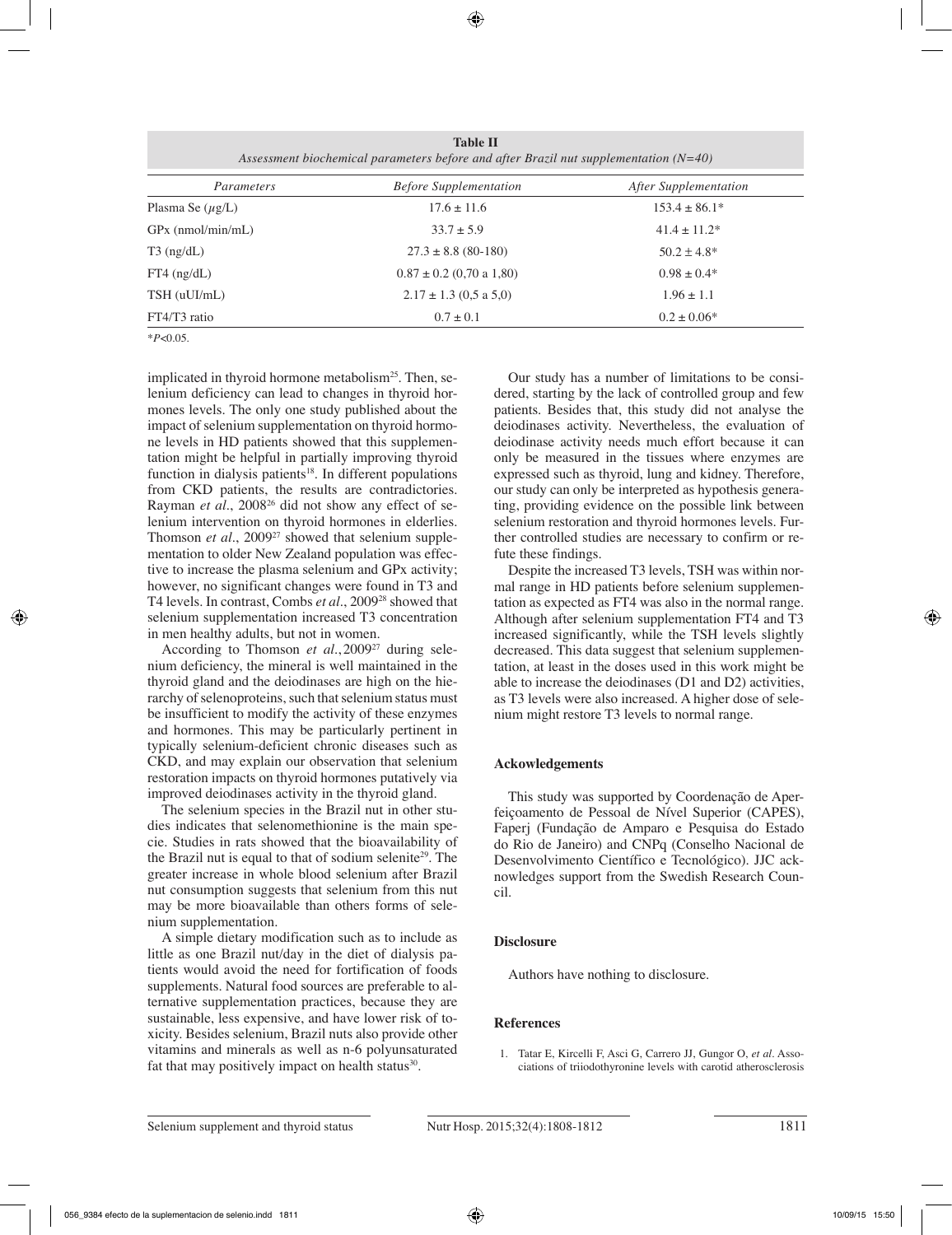**Table II** *Assessment biochemical parameters before and after Brazil nut supplementation (N=40)*

| Parameters            | <b>Before Supplementation</b> | After Supplementation |
|-----------------------|-------------------------------|-----------------------|
| Plasma Se $(\mu g/L)$ | $17.6 \pm 11.6$               | $153.4 \pm 86.1*$     |
| $GPx$ (nmol/min/mL)   | $33.7 \pm 5.9$                | $41.4 \pm 11.2^*$     |
| $T3$ (ng/dL)          | $27.3 \pm 8.8$ (80-180)       | $50.2 \pm 4.8^*$      |
| $FT4$ (ng/dL)         | $0.87 \pm 0.2$ (0.70 a 1,80)  | $0.98 \pm 0.4*$       |
| $TSH$ (uUI/mL)        | $2.17 \pm 1.3$ (0.5 a 5,0)    | $1.96 \pm 1.1$        |
| FT4/T3 ratio          | $0.7 \pm 0.1$                 | $0.2 \pm 0.06*$       |

\**P*<0.05.

implicated in thyroid hormone metabolism<sup>25</sup>. Then, selenium deficiency can lead to changes in thyroid hormones levels. The only one study published about the impact of selenium supplementation on thyroid hormone levels in HD patients showed that this supplementation might be helpful in partially improving thyroid function in dialysis patients $18$ . In different populations from CKD patients, the results are contradictories. Rayman et al., 2008<sup>26</sup> did not show any effect of selenium intervention on thyroid hormones in elderlies. Thomson *et al.*, 2009<sup>27</sup> showed that selenium supplementation to older New Zealand population was effective to increase the plasma selenium and GPx activity; however, no significant changes were found in T3 and T4 levels. In contrast, Combs *et al.*, 200928 showed that selenium supplementation increased T3 concentration in men healthy adults, but not in women.

According to Thomson *et al.*, 2009<sup>27</sup> during selenium deficiency, the mineral is well maintained in the thyroid gland and the deiodinases are high on the hierarchy of selenoproteins, such that selenium status must be insufficient to modify the activity of these enzymes and hormones. This may be particularly pertinent in typically selenium-deficient chronic diseases such as CKD, and may explain our observation that selenium restoration impacts on thyroid hormones putatively via improved deiodinases activity in the thyroid gland.

The selenium species in the Brazil nut in other studies indicates that selenomethionine is the main specie. Studies in rats showed that the bioavailability of the Brazil nut is equal to that of sodium selenite<sup>29</sup>. The greater increase in whole blood selenium after Brazil nut consumption suggests that selenium from this nut may be more bioavailable than others forms of selenium supplementation.

A simple dietary modification such as to include as little as one Brazil nut/day in the diet of dialysis patients would avoid the need for fortification of foods supplements. Natural food sources are preferable to alternative supplementation practices, because they are sustainable, less expensive, and have lower risk of toxicity. Besides selenium, Brazil nuts also provide other vitamins and minerals as well as n-6 polyunsaturated fat that may positively impact on health status $30$ .

Our study has a number of limitations to be considered, starting by the lack of controlled group and few patients. Besides that, this study did not analyse the deiodinases activity. Nevertheless, the evaluation of deiodinase activity needs much effort because it can only be measured in the tissues where enzymes are expressed such as thyroid, lung and kidney. Therefore, our study can only be interpreted as hypothesis generating, providing evidence on the possible link between selenium restoration and thyroid hormones levels. Further controlled studies are necessary to confirm or refute these findings.

Despite the increased T3 levels, TSH was within normal range in HD patients before selenium supplementation as expected as FT4 was also in the normal range. Although after selenium supplementation FT4 and T3 increased significantly, while the TSH levels slightly decreased. This data suggest that selenium supplementation, at least in the doses used in this work might be able to increase the deiodinases (D1 and D2) activities, as T3 levels were also increased. A higher dose of selenium might restore T3 levels to normal range.

# **Ackowledgements**

This study was supported by Coordenação de Aperfeiçoamento de Pessoal de Nível Superior (CAPES), Faperj (Fundação de Amparo e Pesquisa do Estado do Rio de Janeiro) and CNPq (Conselho Nacional de Desenvolvimento Científico e Tecnológico). JJC acknowledges support from the Swedish Research Council.

# **Disclosure**

Authors have nothing to disclosure.

# **References**

1. Tatar E, Kircelli F, Asci G, Carrero JJ, Gungor O, *et al.* Associations of triiodothyronine levels with carotid atherosclerosis